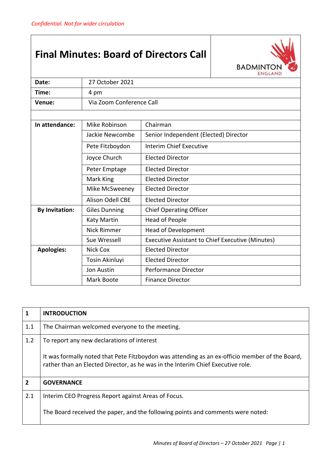## **Final Minutes: Board of Directors Call**



| Date:                                                    | 27 October 2021          |                                                         |  |
|----------------------------------------------------------|--------------------------|---------------------------------------------------------|--|
| Time:                                                    | 4 pm                     |                                                         |  |
| Venue:                                                   | Via Zoom Conference Call |                                                         |  |
|                                                          |                          |                                                         |  |
| In attendance:                                           | Mike Robinson            | Chairman                                                |  |
|                                                          | Jackie Newcombe          | Senior Independent (Elected) Director                   |  |
|                                                          | Pete Fitzboydon          | <b>Interim Chief Executive</b>                          |  |
|                                                          | Joyce Church             | <b>Elected Director</b>                                 |  |
|                                                          | Peter Emptage            | <b>Elected Director</b>                                 |  |
|                                                          | Mark King                | <b>Elected Director</b>                                 |  |
|                                                          | Mike McSweeney           | <b>Elected Director</b>                                 |  |
|                                                          | <b>Alison Odell CBE</b>  | <b>Elected Director</b>                                 |  |
| <b>By Invitation:</b>                                    | <b>Giles Dunning</b>     | <b>Chief Operating Officer</b>                          |  |
|                                                          | Katy Martin              | <b>Head of People</b>                                   |  |
|                                                          | Nick Rimmer              | <b>Head of Development</b>                              |  |
|                                                          | Sue Wressell             | <b>Executive Assistant to Chief Executive (Minutes)</b> |  |
| <b>Apologies:</b><br><b>Elected Director</b><br>Nick Cox |                          |                                                         |  |
|                                                          | Tosin Akinluyi           | <b>Elected Director</b>                                 |  |
|                                                          | <b>Jon Austin</b>        | <b>Performance Director</b>                             |  |
|                                                          | Mark Boote               | <b>Finance Director</b>                                 |  |

| $\mathbf{1}$   | <b>INTRODUCTION</b>                                                                                                                                                               |  |
|----------------|-----------------------------------------------------------------------------------------------------------------------------------------------------------------------------------|--|
| 1.1            | The Chairman welcomed everyone to the meeting.                                                                                                                                    |  |
| 1.2            | To report any new declarations of interest                                                                                                                                        |  |
|                | It was formally noted that Pete Fitzboydon was attending as an ex-officio member of the Board,<br>rather than an Elected Director, as he was in the Interim Chief Executive role. |  |
| $\overline{2}$ | <b>GOVERNANCE</b>                                                                                                                                                                 |  |
| 2.1            | Interim CEO Progress Report against Areas of Focus.                                                                                                                               |  |
|                | The Board received the paper, and the following points and comments were noted:                                                                                                   |  |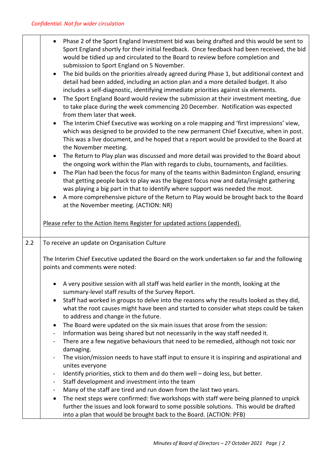|     | Phase 2 of the Sport England Investment bid was being drafted and this would be sent to<br>Sport England shortly for their initial feedback. Once feedback had been received, the bid<br>would be tidied up and circulated to the Board to review before completion and                                                                                 |  |
|-----|---------------------------------------------------------------------------------------------------------------------------------------------------------------------------------------------------------------------------------------------------------------------------------------------------------------------------------------------------------|--|
|     | submission to Sport England on 5 November.<br>The bid builds on the priorities already agreed during Phase 1, but additional context and<br>$\bullet$<br>detail had been added, including an action plan and a more detailed budget. It also<br>includes a self-diagnostic, identifying immediate priorities against six elements.                      |  |
|     | The Sport England Board would review the submission at their investment meeting, due<br>$\bullet$<br>to take place during the week commencing 20 December. Notification was expected<br>from them later that week.                                                                                                                                      |  |
|     | The Interim Chief Executive was working on a role mapping and 'first impressions' view,<br>$\bullet$<br>which was designed to be provided to the new permanent Chief Executive, when in post.<br>This was a live document, and he hoped that a report would be provided to the Board at<br>the November meeting.                                        |  |
|     | The Return to Play plan was discussed and more detail was provided to the Board about<br>$\bullet$<br>the ongoing work within the Plan with regards to clubs, tournaments, and facilities.<br>$\bullet$                                                                                                                                                 |  |
|     | The Plan had been the focus for many of the teams within Badminton England, ensuring<br>that getting people back to play was the biggest focus now and data/insight gathering<br>was playing a big part in that to identify where support was needed the most.<br>A more comprehensive picture of the Return to Play would be brought back to the Board |  |
|     | at the November meeting. (ACTION: NR)                                                                                                                                                                                                                                                                                                                   |  |
|     | Please refer to the Action Items Register for updated actions (appended).                                                                                                                                                                                                                                                                               |  |
| 2.2 | To receive an update on Organisation Culture                                                                                                                                                                                                                                                                                                            |  |
|     | The Interim Chief Executive updated the Board on the work undertaken so far and the following<br>points and comments were noted:                                                                                                                                                                                                                        |  |
|     | A very positive session with all staff was held earlier in the month, looking at the<br>summary-level staff results of the Survey Report.                                                                                                                                                                                                               |  |
|     | Staff had worked in groups to delve into the reasons why the results looked as they did,<br>$\bullet$<br>what the root causes might have been and started to consider what steps could be taken<br>to address and change in the future.                                                                                                                 |  |
|     | The Board were updated on the six main issues that arose from the session:<br>$\bullet$                                                                                                                                                                                                                                                                 |  |
|     | Information was being shared but not necessarily in the way staff needed it.<br>$\qquad \qquad \blacksquare$                                                                                                                                                                                                                                            |  |
|     | There are a few negative behaviours that need to be remedied, although not toxic nor<br>$\qquad \qquad \blacksquare$<br>damaging.                                                                                                                                                                                                                       |  |
|     | The vision/mission needs to have staff input to ensure it is inspiring and aspirational and<br>unites everyone                                                                                                                                                                                                                                          |  |
|     | Identify priorities, stick to them and do them well - doing less, but better.<br>$\qquad \qquad \blacksquare$                                                                                                                                                                                                                                           |  |
|     | Staff development and investment into the team<br>-                                                                                                                                                                                                                                                                                                     |  |
|     | Many of the staff are tired and run down from the last two years.<br>$\blacksquare$                                                                                                                                                                                                                                                                     |  |
|     | The next steps were confirmed: five workshops with staff were being planned to unpick<br>$\bullet$<br>further the issues and look forward to some possible solutions. This would be drafted<br>into a plan that would be brought back to the Board. (ACTION: PFB)                                                                                       |  |
|     |                                                                                                                                                                                                                                                                                                                                                         |  |